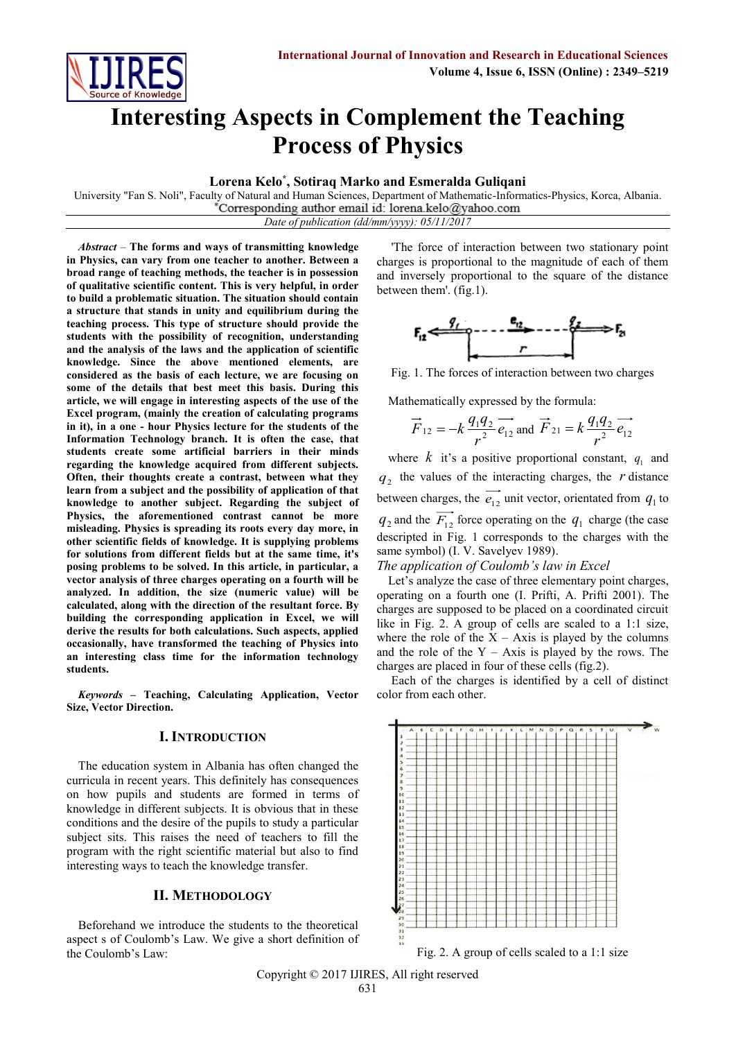

# **Interesting Aspects in Complement the Teaching Process of Physics**

**Lorena Kelo\* , Sotiraq Marko and Esmeralda Guliqani** 

University "Fan S. Noli", Faculty of Natural and Human Sciences, Department of Mathematic-Informatics-Physics, Korca, Albania.<br>\*Corresponding author email id: lorena.kelo@yahoo.com *Date of publication (dd/mm/yyyy): 05/11/2017*

*Abstract* – **The forms and ways of transmitting knowledge in Physics, can vary from one teacher to another. Between a broad range of teaching methods, the teacher is in possession of qualitative scientific content. This is very helpful, in order to build a problematic situation. The situation should contain a structure that stands in unity and equilibrium during the teaching process. This type of structure should provide the students with the possibility of recognition, understanding and the analysis of the laws and the application of scientific knowledge. Since the above mentioned elements, are considered as the basis of each lecture, we are focusing on some of the details that best meet this basis. During this article, we will engage in interesting aspects of the use of the Excel program, (mainly the creation of calculating programs in it), in a one - hour Physics lecture for the students of the Information Technology branch. It is often the case, that students create some artificial barriers in their minds regarding the knowledge acquired from different subjects. Often, their thoughts create a contrast, between what they learn from a subject and the possibility of application of that knowledge to another subject. Regarding the subject of Physics, the aforementioned contrast cannot be more misleading. Physics is spreading its roots every day more, in other scientific fields of knowledge. It is supplying problems for solutions from different fields but at the same time, it's posing problems to be solved. In this article, in particular, a vector analysis of three charges operating on a fourth will be analyzed. In addition, the size (numeric value) will be calculated, along with the direction of the resultant force. By building the corresponding application in Excel, we will derive the results for both calculations. Such aspects, applied occasionally, have transformed the teaching of Physics into an interesting class time for the information technology students.**

*Keywords* **– Teaching, Calculating Application, Vector Size, Vector Direction.**

# **I. INTRODUCTION**

The education system in Albania has often changed the curricula in recent years. This definitely has consequences on how pupils and students are formed in terms of knowledge in different subjects. It is obvious that in these conditions and the desire of the pupils to study a particular subject sits. This raises the need of teachers to fill the program with the right scientific material but also to find interesting ways to teach the knowledge transfer.

### **II. METHODOLOGY**

Beforehand we introduce the students to the theoretical aspect s of Coulomb's Law. We give a short definition of the Coulomb's Law:

'The force of interaction between two stationary point charges is proportional to the magnitude of each of them and inversely proportional to the square of the distance between them'. (fig.1).



Fig. 1. The forces of interaction between two charges

Mathematically expressed by the formula:

$$
\vec{F}_{12} = -k \frac{q_1 q_2}{r^2} \vec{e}_{12}
$$
 and  $\vec{F}_{21} = k \frac{q_1 q_2}{r^2} \vec{e}_{12}$ 

where  $k$  it's a positive proportional constant,  $q_1$  and  $q_2$  the values of the interacting charges, the  $r$  distance between charges, the  $\overrightarrow{e_{12}}$  unit vector, orientated from  $q_1$  to  $q_2$  and the  $\overrightarrow{F_{12}}$  force operating on the  $q_1$  charge (the case descripted in Fig. 1 corresponds to the charges with the same symbol) (I. V. Savelyev 1989).

*The application of Coulomb's law in Excel*

Let's analyze the case of three elementary point charges, operating on a fourth one (I. Prifti, A. Prifti 2001). The charges are supposed to be placed on a coordinated circuit like in Fig. 2. A group of cells are scaled to a 1:1 size, where the role of the  $X - Axi$  is played by the columns and the role of the  $Y - Axis$  is played by the rows. The charges are placed in four of these cells (fig.2).

Each of the charges is identified by a cell of distinct color from each other.



Fig. 2. A group of cells scaled to a 1:1 size

Copyright © 2017 IJIRES, All right reserved 631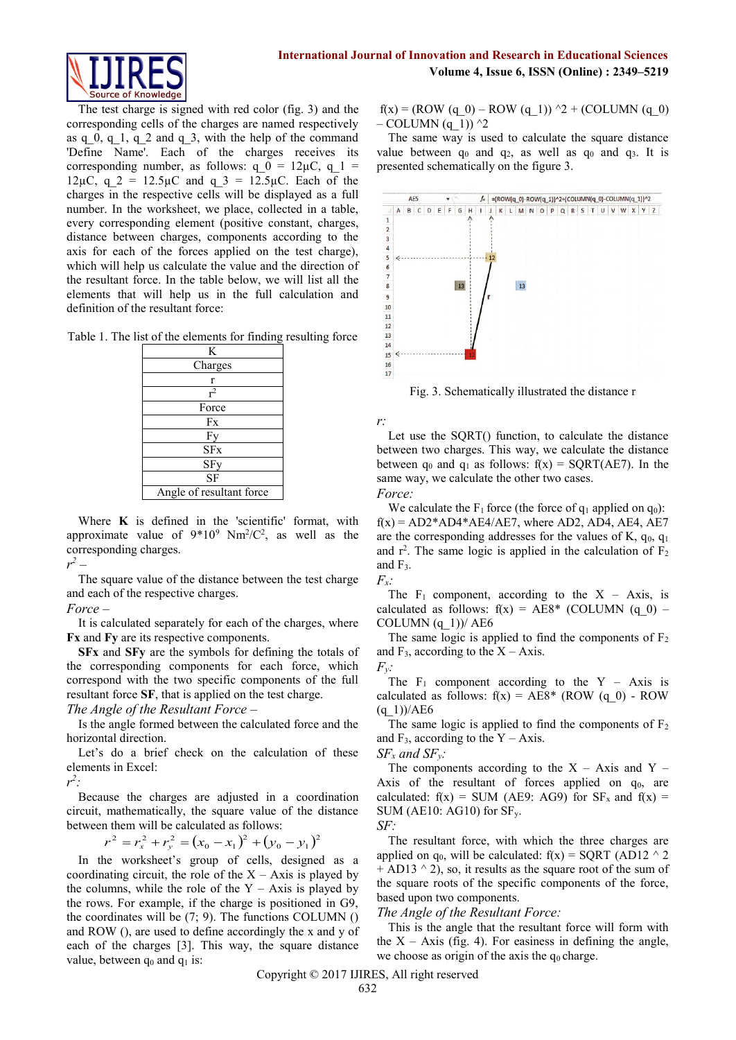

The test charge is signed with red color (fig. 3) and the corresponding cells of the charges are named respectively as q 0, q 1, q 2 and q 3, with the help of the command 'Define Name'. Each of the charges receives its corresponding number, as follows:  $q_0 = 12\mu C$ ,  $q_1 =$ 12 $\mu$ C, q 2 = 12.5 $\mu$ C and q 3 = 12.5 $\mu$ C. Each of the charges in the respective cells will be displayed as a full number. In the worksheet, we place, collected in a table, every corresponding element (positive constant, charges, distance between charges, components according to the axis for each of the forces applied on the test charge), which will help us calculate the value and the direction of the resultant force. In the table below, we will list all the elements that will help us in the full calculation and definition of the resultant force:

Table 1. The list of the elements for finding resulting force

| K                        |
|--------------------------|
| Charges                  |
| r                        |
| $r^2$                    |
| Force                    |
| Fx                       |
| Fy                       |
| SFx                      |
| SFy                      |
| SF                       |
| Angle of resultant force |

Where **K** is defined in the 'scientific' format, with approximate value of  $9*10^9$  Nm<sup>2</sup>/C<sup>2</sup>, as well as the corresponding charges.

*r 2 –*

The square value of the distance between the test charge and each of the respective charges.

*Force –*

It is calculated separately for each of the charges, where **Fx** and **Fy** are its respective components.

**SFx** and **SFy** are the symbols for defining the totals of the corresponding components for each force, which correspond with the two specific components of the full resultant force **SF**, that is applied on the test charge.

*The Angle of the Resultant Force –*

Is the angle formed between the calculated force and the horizontal direction.

Let's do a brief check on the calculation of these elements in Excel:

*r 2 :*

Because the charges are adjusted in a coordination circuit, mathematically, the square value of the distance between them will be calculated as follows:

$$
r^{2} = r_{x}^{2} + r_{y}^{2} = (x_{0} - x_{1})^{2} + (y_{0} - y_{1})^{2}
$$

In the worksheet's group of cells, designed as a coordinating circuit, the role of the  $X - A$ xis is played by the columns, while the role of the  $Y - Axi$  is played by the rows. For example, if the charge is positioned in G9, the coordinates will be  $(7; 9)$ . The functions COLUMN  $()$ and ROW (), are used to define accordingly the x and y of each of the charges [3]. This way, the square distance value, between  $q_0$  and  $q_1$  is:

 $f(x) = (ROW (q_0) - Row (q_1))$  ^2 + (COLUMN (q\_0)  $-$  COLUMN (q 1))  $^2$ 

The same way is used to calculate the square distance value between  $q_0$  and  $q_2$ , as well as  $q_0$  and  $q_3$ . It is presented schematically on the figure 3.



Fig. 3. Schematically illustrated the distance r

*r:* 

Let use the SQRT() function, to calculate the distance between two charges. This way, we calculate the distance between  $q_0$  and  $q_1$  as follows:  $f(x) = SQRT(AE7)$ . In the same way, we calculate the other two cases.

*Force:*

We calculate the  $F_1$  force (the force of  $q_1$  applied on  $q_0$ ):  $f(x) = AD2*AD4*AE4/AE7$ , where AD2, AD4, AE4, AE7 are the corresponding addresses for the values of K,  $q_0$ ,  $q_1$ and  $r^2$ . The same logic is applied in the calculation of  $F_2$ and F3.



The  $F_1$  component, according to the  $X - Axis$ , is calculated as follows:  $f(x) = A E 8^*$  (COLUMN (q 0) – COLUMN  $(q_1)$ )/ AE6

The same logic is applied to find the components of  $F_2$ and  $F_3$ , according to the  $X - Axis$ .

*Fy:* The  $F_1$  component according to the Y – Axis is calculated as follows:  $f(x) = AE8* (ROW (q 0) - ROW)$  $(q\;1)$ )/AE6

The same logic is applied to find the components of  $F<sub>2</sub>$ and  $F_3$ , according to the Y – Axis.

 $SF_x$  *and*  $SF_y$ *:* 

The components according to the  $X - Axi$  and  $Y - B$ Axis of the resultant of forces applied on  $q_0$ , are calculated:  $f(x) = SUM (AE9: AG9)$  for  $SF_x$  and  $f(x) =$ SUM (AE10: AG10) for  $SF_v$ .



The resultant force, with which the three charges are applied on  $q_0$ , will be calculated:  $f(x) = SQRT$  (AD12  $\land$  2  $+$  AD13  $\land$  2), so, it results as the square root of the sum of the square roots of the specific components of the force, based upon two components.

# *The Angle of the Resultant Force:*

This is the angle that the resultant force will form with the  $X - Axis$  (fig. 4). For easiness in defining the angle, we choose as origin of the axis the  $q_0$  charge.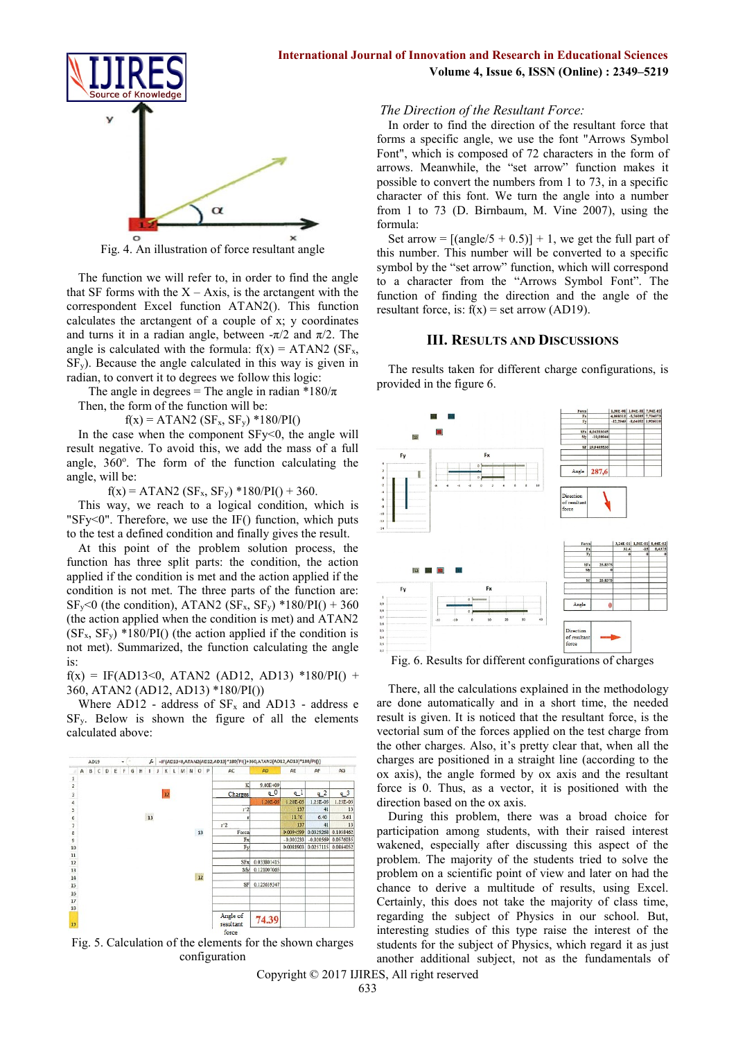

Fig. 4. An illustration of force resultant angle

The function we will refer to, in order to find the angle that SF forms with the  $X - Axis$ , is the arctangent with the correspondent Excel function ATAN2(). This function calculates the arctangent of a couple of x; y coordinates and turns it in a radian angle, between  $-\pi/2$  and  $\pi/2$ . The angle is calculated with the formula:  $f(x) = ATAN2$  (SF<sub>x</sub>,  $SF<sub>v</sub>$ ). Because the angle calculated in this way is given in radian, to convert it to degrees we follow this logic:

The angle in degrees = The angle in radian  $*180/\pi$ 

Then, the form of the function will be:

 $f(x) = ATAN2 (SF_x, SF_y) *180/PI()$ 

In the case when the component SFy<0, the angle will result negative. To avoid this, we add the mass of a full angle, 360°. The form of the function calculating the angle, will be:

 $f(x) = ATAN2 (SF_x, SF_y) *180/PI() + 360.$ 

This way, we reach to a logical condition, which is "SFy<0". Therefore, we use the IF() function, which puts to the test a defined condition and finally gives the result.

At this point of the problem solution process, the function has three split parts: the condition, the action applied if the condition is met and the action applied if the condition is not met. The three parts of the function are:  $SF_v < 0$  (the condition), ATAN2 ( $SF_x$ ,  $SF_v$ ) \*180/PI() + 360 (the action applied when the condition is met) and ATAN2  $(SF_x, SF_y)$  \*180/PI() (the action applied if the condition is not met). Summarized, the function calculating the angle is:

 $f(x) = IF(AD13<0, ATAN2 (AD12, AD13) *180/PI() +$ 360, ATAN2 (AD12, AD13) \*180/PI())

Where  $AD12$  - address of  $SF_x$  and  $AD13$  - address e SFy. Below is shown the figure of all the elements calculated above:



Fig. 5. Calculation of the elements for the shown charges configuration

Copyright © 2017 IJIRES, All right reserved

# **Volume 4, Issue 6, ISSN (Online) : 2349–5219**

#### *The Direction of the Resultant Force:*

In order to find the direction of the resultant force that forms a specific angle, we use the font "Arrows Symbol Font", which is composed of 72 characters in the form of arrows. Meanwhile, the "set arrow" function makes it possible to convert the numbers from 1 to 73, in a specific character of this font. We turn the angle into a number from 1 to 73 (D. Birnbaum, M. Vine 2007), using the formula:

Set arrow =  $[(angle 5 + 0.5)] + 1$ , we get the full part of this number. This number will be converted to a specific symbol by the "set arrow" function, which will correspond to a character from the "Arrows Symbol Font". The function of finding the direction and the angle of the resultant force, is:  $f(x) = set arrow (AD19)$ .

#### **III. RESULTS AND DISCUSSIONS**

The results taken for different charge configurations, is provided in the figure 6.



Fig. 6. Results for different configurations of charges

There, all the calculations explained in the methodology are done automatically and in a short time, the needed result is given. It is noticed that the resultant force, is the vectorial sum of the forces applied on the test charge from the other charges. Also, it's pretty clear that, when all the charges are positioned in a straight line (according to the ox axis), the angle formed by ox axis and the resultant force is 0. Thus, as a vector, it is positioned with the direction based on the ox axis.

During this problem, there was a broad choice for participation among students, with their raised interest wakened, especially after discussing this aspect of the problem. The majority of the students tried to solve the problem on a scientific point of view and later on had the chance to derive a multitude of results, using Excel. Certainly, this does not take the majority of class time, regarding the subject of Physics in our school. But, interesting studies of this type raise the interest of the students for the subject of Physics, which regard it as just another additional subject, not as the fundamentals of